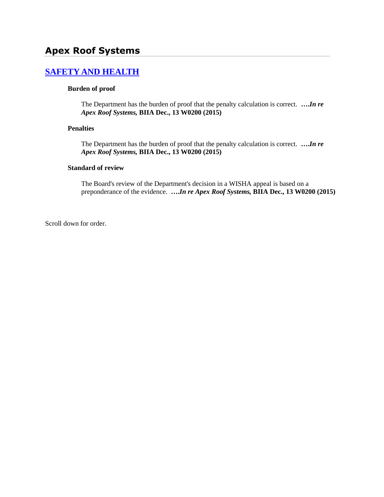# **Apex Roof Systems**

# **[SAFETY AND HEALTH](http://www.biia.wa.gov/SDSubjectIndex.html#SAFETY_AND_HEALTH)**

#### **Burden of proof**

The Department has the burden of proof that the penalty calculation is correct. **….***In re Apex Roof Systems,* **BIIA Dec., 13 W0200 (2015)**

### **Penalties**

The Department has the burden of proof that the penalty calculation is correct. **….***In re Apex Roof Systems,* **BIIA Dec., 13 W0200 (2015)**

#### **Standard of review**

The Board's review of the Department's decision in a WISHA appeal is based on a preponderance of the evidence. **….***In re Apex Roof Systems,* **BIIA Dec., 13 W0200 (2015)**

Scroll down for order.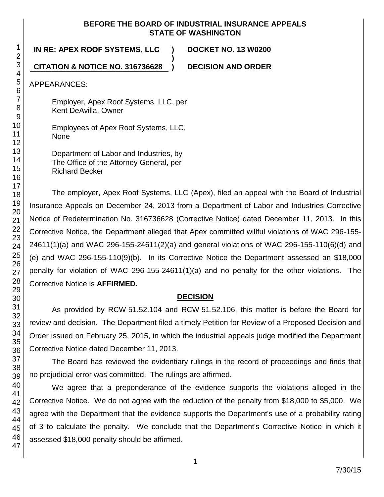### **BEFORE THE BOARD OF INDUSTRIAL INSURANCE APPEALS STATE OF WASHINGTON**

**)**

**IN RE: APEX ROOF SYSTEMS, LLC ) DOCKET NO. 13 W0200**

**CITATION & NOTICE NO. 316736628 ) DECISION AND ORDER**

APPEARANCES:

Employer, Apex Roof Systems, LLC, per Kent DeAvilla, Owner

Employees of Apex Roof Systems, LLC, None

Department of Labor and Industries, by The Office of the Attorney General, per Richard Becker

The employer, Apex Roof Systems, LLC (Apex), filed an appeal with the Board of Industrial Insurance Appeals on December 24, 2013 from a Department of Labor and Industries Corrective Notice of Redetermination No. 316736628 (Corrective Notice) dated December 11, 2013. In this Corrective Notice, the Department alleged that Apex committed willful violations of WAC 296-155- 24611(1)(a) and WAC 296-155-24611(2)(a) and general violations of WAC 296-155-110(6)(d) and (e) and WAC 296-155-110(9)(b). In its Corrective Notice the Department assessed an \$18,000 penalty for violation of WAC 296-155-24611(1)(a) and no penalty for the other violations. The Corrective Notice is **AFFIRMED.**

## **DECISION**

As provided by RCW 51.52.104 and RCW 51.52.106, this matter is before the Board for review and decision. The Department filed a timely Petition for Review of a Proposed Decision and Order issued on February 25, 2015, in which the industrial appeals judge modified the Department Corrective Notice dated December 11, 2013.

The Board has reviewed the evidentiary rulings in the record of proceedings and finds that no prejudicial error was committed. The rulings are affirmed.

We agree that a preponderance of the evidence supports the violations alleged in the Corrective Notice. We do not agree with the reduction of the penalty from \$18,000 to \$5,000. We agree with the Department that the evidence supports the Department's use of a probability rating of 3 to calculate the penalty. We conclude that the Department's Corrective Notice in which it assessed \$18,000 penalty should be affirmed.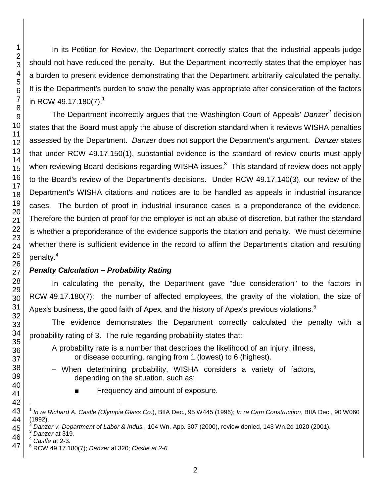In its Petition for Review, the Department correctly states that the industrial appeals judge should not have reduced the penalty. But the Department incorrectly states that the employer has a burden to present evidence demonstrating that the Department arbitrarily calculated the penalty. It is the Department's burden to show the penalty was appropriate after consideration of the factors in RCW 49.17.180(7).<sup>1</sup>

The Department incorrectly argues that the Washington Court of Appeals' *Danzer<sup>2</sup>* decision states that the Board must apply the abuse of discretion standard when it reviews WISHA penalties assessed by the Department. *Danzer* does not support the Department's argument. *Danzer* states that under RCW 49.17.150(1), substantial evidence is the standard of review courts must apply when reviewing Board decisions regarding WISHA issues.<sup>3</sup> This standard of review does not apply to the Board's review of the Department's decisions. Under RCW 49.17.140(3), our review of the Department's WISHA citations and notices are to be handled as appeals in industrial insurance cases. The burden of proof in industrial insurance cases is a preponderance of the evidence. Therefore the burden of proof for the employer is not an abuse of discretion, but rather the standard is whether a preponderance of the evidence supports the citation and penalty. We must determine whether there is sufficient evidence in the record to affirm the Department's citation and resulting penalty.<sup>4</sup>

## *Penalty Calculation – Probability Rating*

In calculating the penalty, the Department gave "due consideration" to the factors in RCW 49.17.180(7): the number of affected employees, the gravity of the violation, the size of Apex's business, the good faith of Apex, and the history of Apex's previous violations.<sup>5</sup>

The evidence demonstrates the Department correctly calculated the penalty with a probability rating of 3. The rule regarding probability states that:

A probability rate is a number that describes the likelihood of an injury, illness, or disease occurring, ranging from 1 (lowest) to 6 (highest).

- When determining probability, WISHA considers a variety of factors, depending on the situation, such as:
	- Frequency and amount of exposure.
- l *In re Richard A. Castle (Olympia Glass Co*.), BIIA Dec., 95 W445 (1996); *In re Cam Construction*, BIIA Dec., 90 W060 (1992).

*Danzer v. Department of Labor & Indus.*, 104 Wn. App. 307 (2000), review denied, 143 Wn.2d 1020 (2001).

*Danzer* at 319*.*

*Castle* at 2-3.

RCW 49.17.180(7); *Danzer* at 320; *Castle at 2-6.*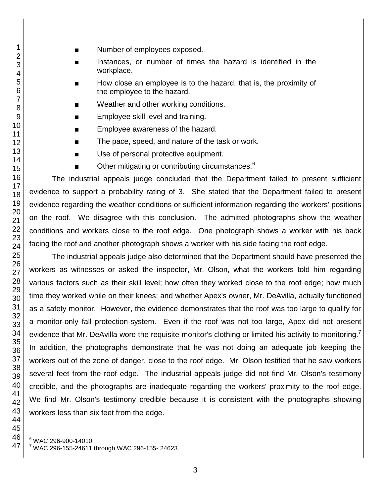- 
- Number of employees exposed.
- Instances, or number of times the hazard is identified in the workplace.
- How close an employee is to the hazard, that is, the proximity of the employee to the hazard.
- Weather and other working conditions.
- Employee skill level and training.
- Employee awareness of the hazard.
- The pace, speed, and nature of the task or work.
- Use of personal protective equipment.
- Other mitigating or contributing circumstances.

The industrial appeals judge concluded that the Department failed to present sufficient evidence to support a probability rating of 3. She stated that the Department failed to present evidence regarding the weather conditions or sufficient information regarding the workers' positions on the roof. We disagree with this conclusion. The admitted photographs show the weather conditions and workers close to the roof edge. One photograph shows a worker with his back facing the roof and another photograph shows a worker with his side facing the roof edge.

The industrial appeals judge also determined that the Department should have presented the workers as witnesses or asked the inspector, Mr. Olson, what the workers told him regarding various factors such as their skill level; how often they worked close to the roof edge; how much time they worked while on their knees; and whether Apex's owner, Mr. DeAvilla, actually functioned as a safety monitor. However, the evidence demonstrates that the roof was too large to qualify for a monitor-only fall protection-system. Even if the roof was not too large, Apex did not present evidence that Mr. DeAvilla wore the requisite monitor's clothing or limited his activity to monitoring.<sup>7</sup> In addition, the photographs demonstrate that he was not doing an adequate job keeping the workers out of the zone of danger, close to the roof edge. Mr. Olson testified that he saw workers several feet from the roof edge. The industrial appeals judge did not find Mr. Olson's testimony credible, and the photographs are inadequate regarding the workers' proximity to the roof edge. We find Mr. Olson's testimony credible because it is consistent with the photographs showing workers less than six feet from the edge.

l WAC 296-900-14010.

WAC 296-155-24611 through WAC 296-155- 24623.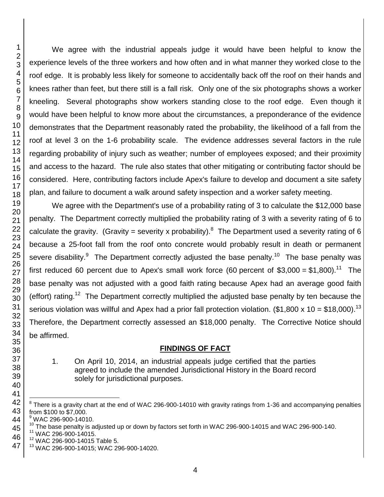We agree with the industrial appeals judge it would have been helpful to know the experience levels of the three workers and how often and in what manner they worked close to the roof edge. It is probably less likely for someone to accidentally back off the roof on their hands and knees rather than feet, but there still is a fall risk. Only one of the six photographs shows a worker kneeling. Several photographs show workers standing close to the roof edge. Even though it would have been helpful to know more about the circumstances, a preponderance of the evidence demonstrates that the Department reasonably rated the probability, the likelihood of a fall from the roof at level 3 on the 1-6 probability scale. The evidence addresses several factors in the rule regarding probability of injury such as weather; number of employees exposed; and their proximity and access to the hazard. The rule also states that other mitigating or contributing factor should be considered. Here, contributing factors include Apex's failure to develop and document a site safety plan, and failure to document a walk around safety inspection and a worker safety meeting.

We agree with the Department's use of a probability rating of 3 to calculate the \$12,000 base penalty. The Department correctly multiplied the probability rating of 3 with a severity rating of 6 to calculate the gravity. (Gravity = severity x probability).<sup>8</sup> The Department used a severity rating of 6 because a 25-foot fall from the roof onto concrete would probably result in death or permanent severe disability.<sup>9</sup> The Department correctly adjusted the base penalty.<sup>10</sup> The base penalty was first reduced 60 percent due to Apex's small work force (60 percent of \$3,000 = \$1,800).<sup>11</sup> The base penalty was not adjusted with a good faith rating because Apex had an average good faith (effort) rating.<sup>12</sup> The Department correctly multiplied the adjusted base penalty by ten because the serious violation was willful and Apex had a prior fall protection violation. (\$1,800 x 10 = \$18,000).<sup>13</sup> Therefore, the Department correctly assessed an \$18,000 penalty. The Corrective Notice should be affirmed.

## **FINDINGS OF FACT**

1. On April 10, 2014, an industrial appeals judge certified that the parties agreed to include the amended Jurisdictional History in the Board record solely for jurisdictional purposes.

l

 There is a gravity chart at the end of WAC 296-900-14010 with gravity ratings from 1-36 and accompanying penalties from \$100 to \$7,000.

WAC 296-900-14010.

 $^{10}$  The base penalty is adjusted up or down by factors set forth in WAC 296-900-14015 and WAC 296-900-140.

WAC 296-900-14015.

WAC 296-900-14015 Table 5.

WAC 296-900-14015; WAC 296-900-14020.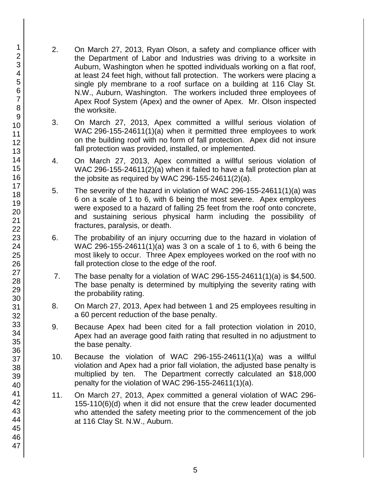- 2. On March 27, 2013, Ryan Olson, a safety and compliance officer with the Department of Labor and Industries was driving to a worksite in Auburn, Washington when he spotted individuals working on a flat roof, at least 24 feet high, without fall protection. The workers were placing a single ply membrane to a roof surface on a building at 116 Clay St. N.W., Auburn, Washington. The workers included three employees of Apex Roof System (Apex) and the owner of Apex. Mr. Olson inspected the worksite.
- 3. On March 27, 2013, Apex committed a willful serious violation of WAC 296-155-24611(1)(a) when it permitted three employees to work on the building roof with no form of fall protection. Apex did not insure fall protection was provided, installed, or implemented.
- 4. On March 27, 2013, Apex committed a willful serious violation of WAC 296-155-24611(2)(a) when it failed to have a fall protection plan at the jobsite as required by WAC 296-155-24611(2)(a).
- 5. The severity of the hazard in violation of WAC 296-155-24611(1)(a) was 6 on a scale of 1 to 6, with 6 being the most severe. Apex employees were exposed to a hazard of falling 25 feet from the roof onto concrete, and sustaining serious physical harm including the possibility of fractures, paralysis, or death.
- 6. The probability of an injury occurring due to the hazard in violation of WAC 296-155-24611(1)(a) was 3 on a scale of 1 to 6, with 6 being the most likely to occur. Three Apex employees worked on the roof with no fall protection close to the edge of the roof.
- 7. The base penalty for a violation of WAC 296-155-24611(1)(a) is \$4,500. The base penalty is determined by multiplying the severity rating with the probability rating.
- 8. On March 27, 2013, Apex had between 1 and 25 employees resulting in a 60 percent reduction of the base penalty.
- 9. Because Apex had been cited for a fall protection violation in 2010, Apex had an average good faith rating that resulted in no adjustment to the base penalty.
- 10. Because the violation of WAC 296-155-24611(1)(a) was a willful violation and Apex had a prior fall violation, the adjusted base penalty is multiplied by ten. The Department correctly calculated an \$18,000 penalty for the violation of WAC 296-155-24611(1)(a).
- 11. On March 27, 2013, Apex committed a general violation of WAC 296- 155-110(6)(d) when it did not ensure that the crew leader documented who attended the safety meeting prior to the commencement of the job at 116 Clay St. N.W., Auburn.